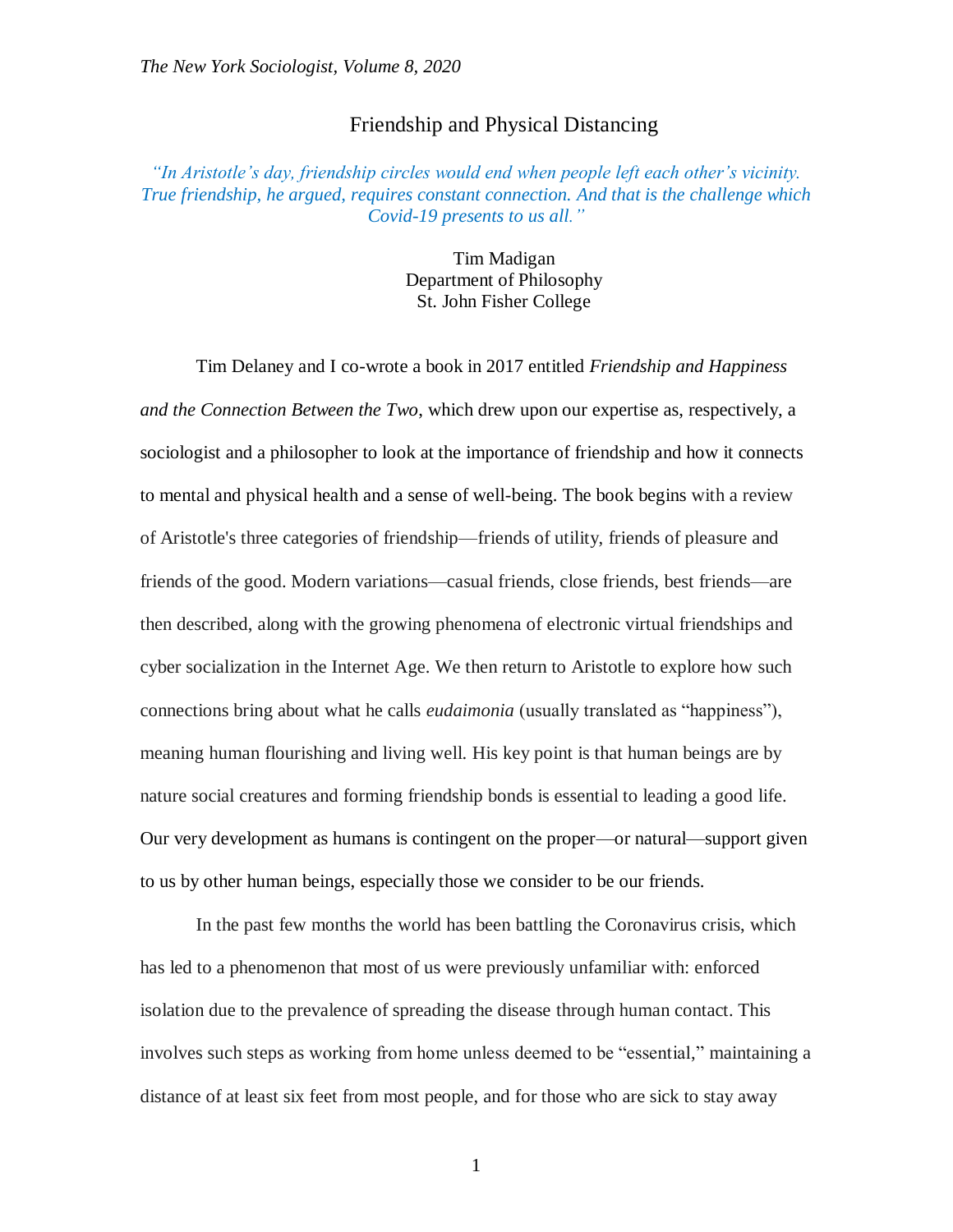## Friendship and Physical Distancing

## *"In Aristotle's day, friendship circles would end when people left each other's vicinity. True friendship, he argued, requires constant connection. And that is the challenge which Covid-19 presents to us all."*

Tim Madigan Department of Philosophy St. John Fisher College

Tim Delaney and I co-wrote a book in 2017 entitled *Friendship and Happiness and the Connection Between the Two*, which drew upon our expertise as, respectively, a sociologist and a philosopher to look at the importance of friendship and how it connects to mental and physical health and a sense of well-being. The book begins with a review of Aristotle's three categories of friendship—friends of utility, friends of pleasure and friends of the good. Modern variations—casual friends, close friends, best friends—are then described, along with the growing phenomena of electronic virtual friendships and cyber socialization in the Internet Age. We then return to Aristotle to explore how such connections bring about what he calls *eudaimonia* (usually translated as "happiness"), meaning human flourishing and living well. His key point is that human beings are by nature social creatures and forming friendship bonds is essential to leading a good life. Our very development as humans is contingent on the proper—or natural—support given to us by other human beings, especially those we consider to be our friends.

In the past few months the world has been battling the Coronavirus crisis, which has led to a phenomenon that most of us were previously unfamiliar with: enforced isolation due to the prevalence of spreading the disease through human contact. This involves such steps as working from home unless deemed to be "essential," maintaining a distance of at least six feet from most people, and for those who are sick to stay away

1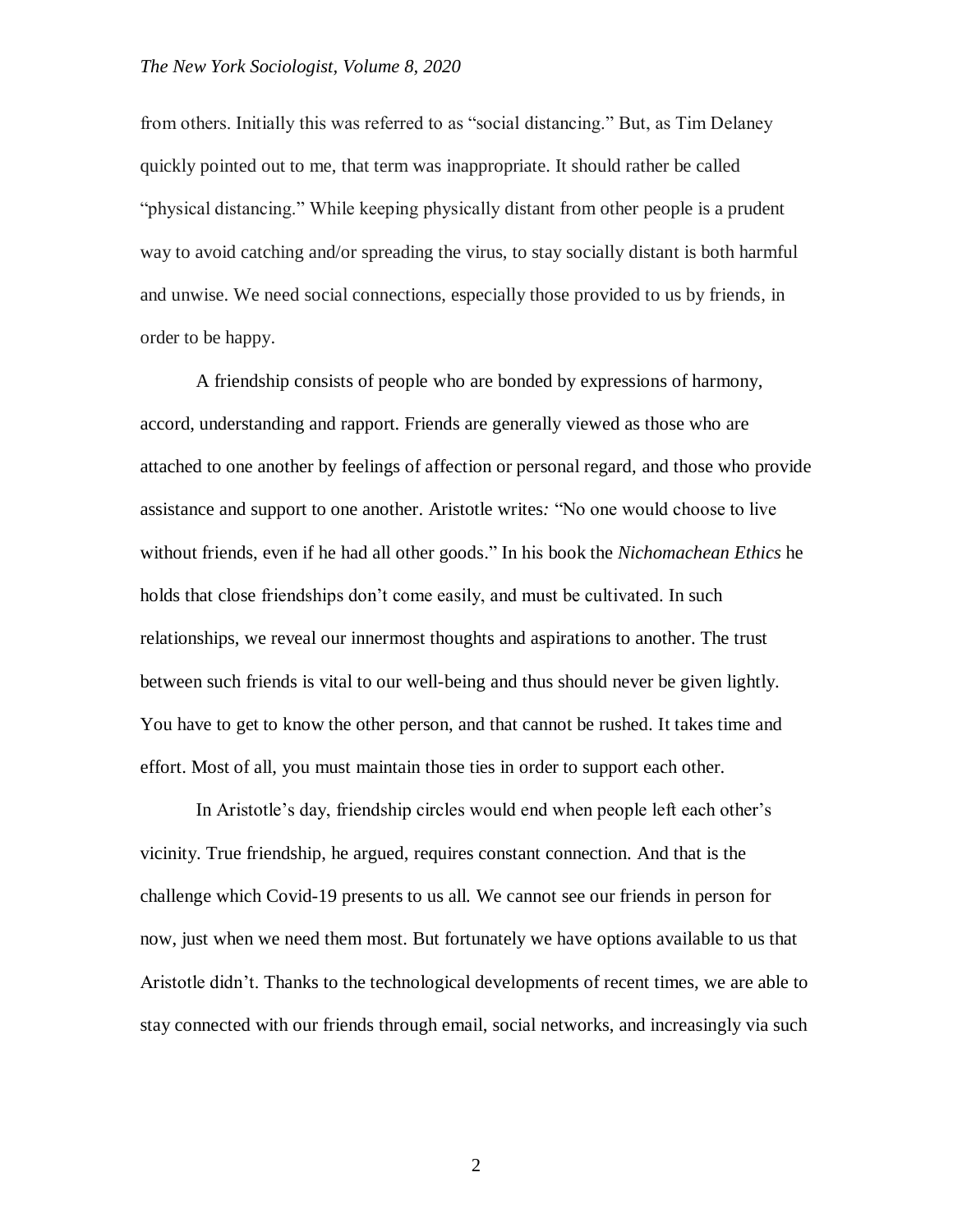## *The New York Sociologist, Volume 8, 2020*

from others. Initially this was referred to as "social distancing." But, as Tim Delaney quickly pointed out to me, that term was inappropriate. It should rather be called "physical distancing." While keeping physically distant from other people is a prudent way to avoid catching and/or spreading the virus, to stay socially distant is both harmful and unwise. We need social connections, especially those provided to us by friends, in order to be happy.

A friendship consists of people who are bonded by expressions of harmony, accord, understanding and rapport. Friends are generally viewed as those who are attached to one another by feelings of affection or personal regard, and those who provide assistance and support to one another. Aristotle writes*:* "No one would choose to live without friends, even if he had all other goods." In his book the *Nichomachean Ethics* he holds that close friendships don't come easily, and must be cultivated. In such relationships, we reveal our innermost thoughts and aspirations to another. The trust between such friends is vital to our well-being and thus should never be given lightly. You have to get to know the other person, and that cannot be rushed. It takes time and effort. Most of all, you must maintain those ties in order to support each other.

In Aristotle's day, friendship circles would end when people left each other's vicinity. True friendship, he argued, requires constant connection. And that is the challenge which Covid-19 presents to us all. We cannot see our friends in person for now, just when we need them most. But fortunately we have options available to us that Aristotle didn't. Thanks to the technological developments of recent times, we are able to stay connected with our friends through email, social networks, and increasingly via such

2